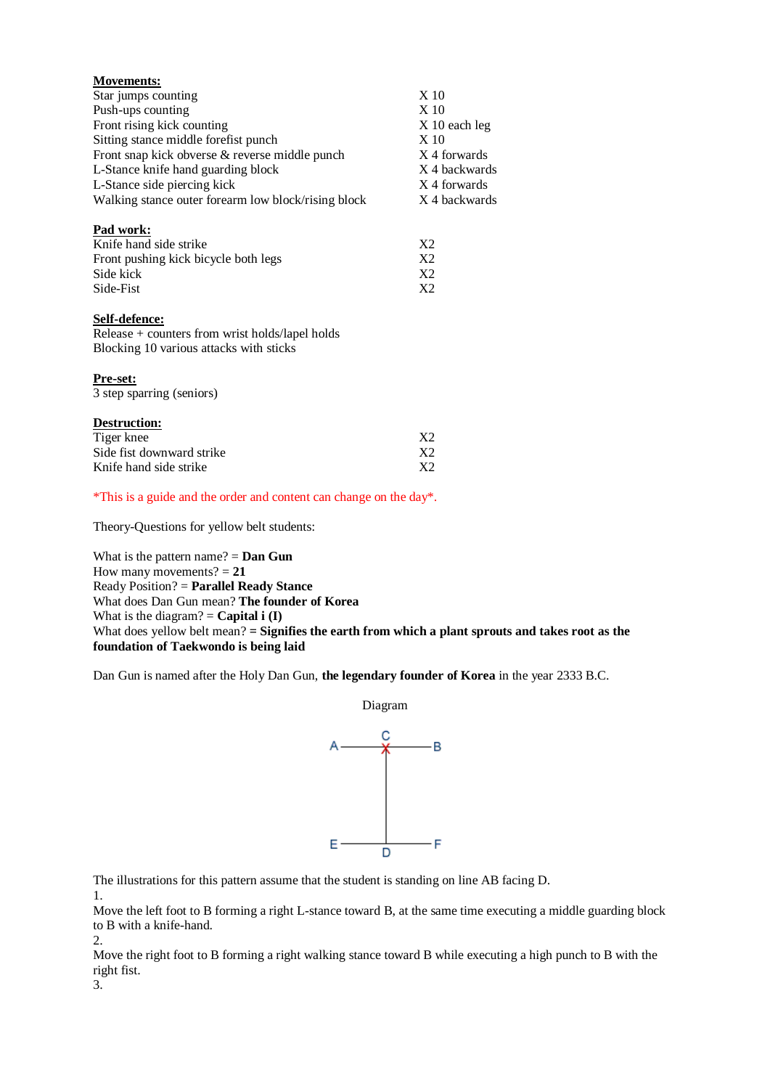| <b>Movements:</b>                                                  |                 |
|--------------------------------------------------------------------|-----------------|
| Star jumps counting                                                | X <sub>10</sub> |
| Push-ups counting                                                  | X <sub>10</sub> |
| Front rising kick counting                                         | X 10 each leg   |
| Sitting stance middle forefist punch                               | X <sub>10</sub> |
| Front snap kick obverse & reverse middle punch                     | X 4 forwards    |
| L-Stance knife hand guarding block                                 | X 4 backwards   |
| L-Stance side piercing kick                                        | X 4 forwards    |
| Walking stance outer forearm low block/rising block                | X 4 backwards   |
| Pad work:                                                          |                 |
| Knife hand side strike                                             | X <sub>2</sub>  |
| Front pushing kick bicycle both legs                               | X <sub>2</sub>  |
| Side kick                                                          | X <sub>2</sub>  |
| Side-Fist                                                          | X <sub>2</sub>  |
| Self-defence:                                                      |                 |
| Release + counters from wrist holds/lapel holds                    |                 |
| Blocking 10 various attacks with sticks                            |                 |
| <u>Pre-set:</u>                                                    |                 |
| 3 step sparring (seniors)                                          |                 |
| Destruction:                                                       |                 |
| Tiger knee                                                         | X <sub>2</sub>  |
| Side fist downward strike                                          | X <sub>2</sub>  |
| Knife hand side strike                                             | X <sub>2</sub>  |
| *This is a guide and the order and content can change on the day*. |                 |
| Theory-Questions for yellow belt students:                         |                 |

What is the pattern name? = **Dan Gun** How many movements? = **21** Ready Position? = **Parallel Ready Stance** What does Dan Gun mean? **The founder of Korea** What is the diagram?  $=$  **Capital i (I)** What does yellow belt mean? = **Signifies the earth from which a plant sprouts and takes root as the foundation of Taekwondo is being laid**

Dan Gun is named after the Holy Dan Gun, **the legendary founder of Korea** in the year 2333 B.C.



The illustrations for this pattern assume that the student is standing on line AB facing D.

1.

Move the left foot to B forming a right L-stance toward B, at the same time executing a middle guarding block to B with a knife-hand. 2.

Move the right foot to B forming a right walking stance toward B while executing a high punch to B with the right fist.

3.